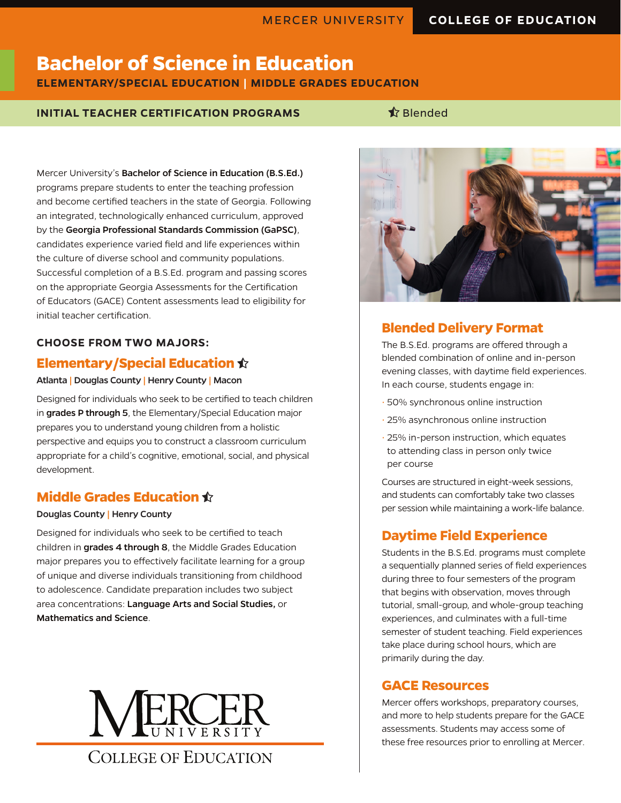# **Bachelor of Science in Education ELEMENTARY/SPECIAL EDUCATION | MIDDLE GRADES EDUCATION**

### **INITIAL TEACHER CERTIFICATION PROGRAMS**  Slended

Mercer University's Bachelor of Science in Education (B.S.Ed.) programs prepare students to enter the teaching profession and become certified teachers in the state of Georgia. Following an integrated, technologically enhanced curriculum, approved by the Georgia Professional Standards Commission (GaPSC), candidates experience varied field and life experiences within the culture of diverse school and community populations. Successful completion of a B.S.Ed. program and passing scores on the appropriate Georgia Assessments for the Certification of Educators (GACE) Content assessments lead to eligibility for initial teacher certification.

#### **CHOOSE FROM TWO MAJORS:**

### **Elementary/Special Education**

#### Atlanta | Douglas County | Henry County | Macon

Designed for individuals who seek to be certified to teach children in grades P through 5, the Elementary/Special Education major prepares you to understand young children from a holistic perspective and equips you to construct a classroom curriculum appropriate for a child's cognitive, emotional, social, and physical development.

# **Middle Grades Education**

#### Douglas County | Henry County

Designed for individuals who seek to be certified to teach children in grades 4 through 8, the Middle Grades Education major prepares you to effectively facilitate learning for a group of unique and diverse individuals transitioning from childhood to adolescence. Candidate preparation includes two subject area concentrations: Language Arts and Social Studies, or Mathematics and Science.





# **Blended Delivery Format**

The B.S.Ed. programs are offered through a blended combination of online and in-person evening classes, with daytime field experiences. In each course, students engage in:

- 50% synchronous online instruction
- 25% asynchronous online instruction
- 25% in-person instruction, which equates to attending class in person only twice per course

Courses are structured in eight-week sessions, and students can comfortably take two classes per session while maintaining a work-life balance.

# **Daytime Field Experience**

Students in the B.S.Ed. programs must complete a sequentially planned series of field experiences during three to four semesters of the program that begins with observation, moves through tutorial, small-group, and whole-group teaching experiences, and culminates with a full-time semester of student teaching. Field experiences take place during school hours, which are primarily during the day.

# **GACE Resources**

Mercer offers workshops, preparatory courses, and more to help students prepare for the GACE assessments. Students may access some of these free resources prior to enrolling at Mercer.